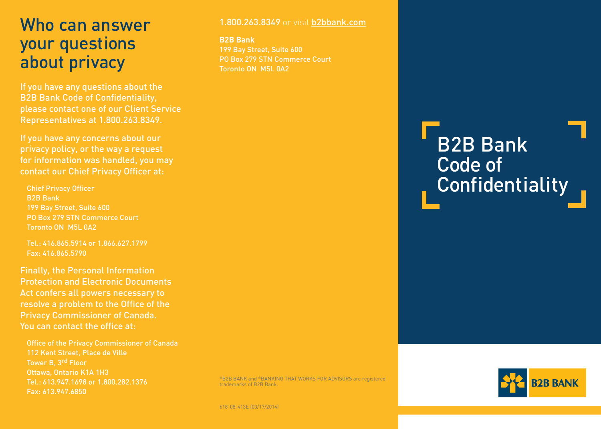## Who can answer your questions about privacy

If you have any questions about the B2B Bank Code of Confidentiality, please contact one of our Client Service Representatives at 1.800.263.8349.

If you have any concerns about our privacy policy, or the way a request for information was handled, you may contact our Chief Privacy Officer at:

Chief Privacy Officer B2B Bank 199 Bay Street, Suite 600 PO Box 279 STN Commerce Court Toronto ON M5L 0A2

Tel.: 416.865.5914 or 1.866.627.1799 Fax: 416.865.5790

Finally, the Personal Information Protection and Electronic Documents Act confers all powers necessary to resolve a problem to the Office of the Privacy Commissioner of Canada. You can contact the office at:

Office of the Privacy Commissioner of Canada 112 Kent Street, Place de Ville Tower B, 3rd Floor Ottawa, Ontario K1A 1H3 Tel.: 613.947.1698 or 1.800.282.1376 Fax: 613.947.6850

#### 1.800.263.8349 or visit [b2bbank.com](http://b2bbank.com)

**B2B Bank** 199 Bay Street, Suite 600 PO Box 279 STN Commerce Court Toronto ON M5L 0A2

# B2B Bank Code of **Confidentiality**

®B2B BANK and ®BANKING THAT WORKS FOR ADVISORS are registered trademarks of B2B Bank.

**R2R RANK**